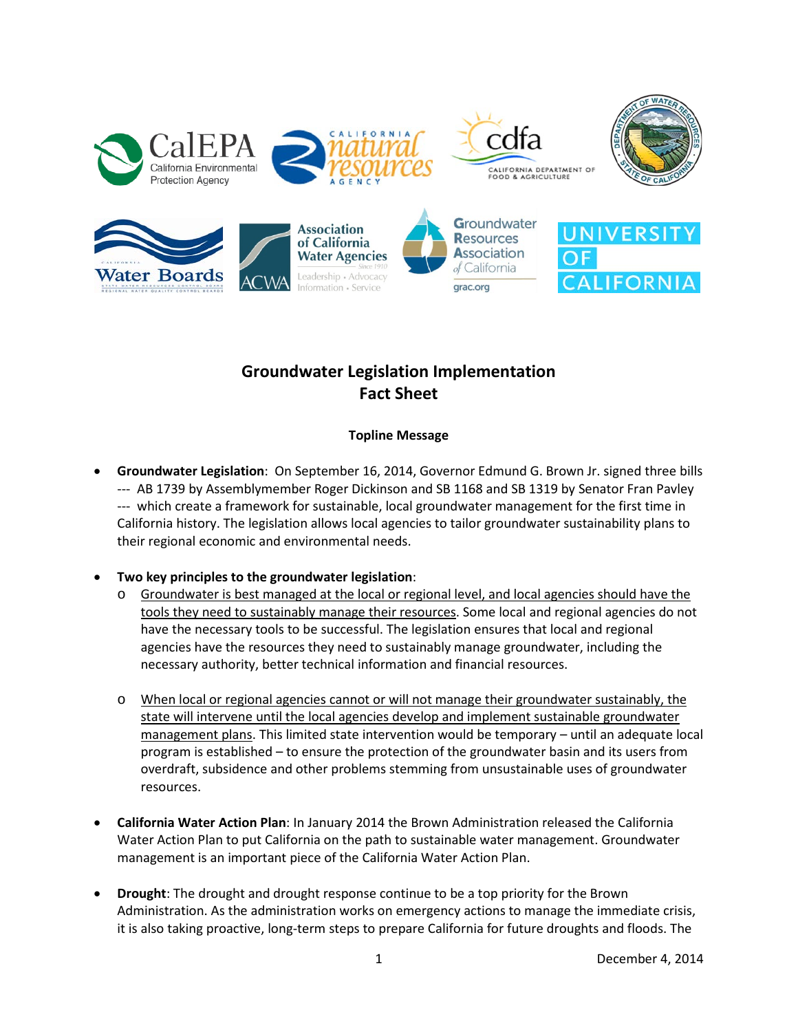

# **Groundwater Legislation Implementation Fact Sheet**

# **Topline Message**

• **Groundwater Legislation**: On September 16, 2014, Governor Edmund G. Brown Jr. signed three bills --- AB 1739 by Assemblymember Roger Dickinson and SB 1168 and SB 1319 by Senator Fran Pavley --- which create a framework for sustainable, local groundwater management for the first time in California history. The legislation allows local agencies to tailor groundwater sustainability plans to their regional economic and environmental needs.

# • **Two key principles to the groundwater legislation**:

- Groundwater is best managed at the local or regional level, and local agencies should have the tools they need to sustainably manage their resources. Some local and regional agencies do not have the necessary tools to be successful. The legislation ensures that local and regional agencies have the resources they need to sustainably manage groundwater, including the necessary authority, better technical information and financial resources.
- o When local or regional agencies cannot or will not manage their groundwater sustainably, the state will intervene until the local agencies develop and implement sustainable groundwater management plans. This limited state intervention would be temporary – until an adequate local program is established – to ensure the protection of the groundwater basin and its users from overdraft, subsidence and other problems stemming from unsustainable uses of groundwater resources.
- **California Water Action Plan**: In January 2014 the Brown Administration released the California Water Action Plan to put California on the path to sustainable water management. Groundwater management is an important piece of the California Water Action Plan.
- **Drought**: The drought and drought response continue to be a top priority for the Brown Administration. As the administration works on emergency actions to manage the immediate crisis, it is also taking proactive, long-term steps to prepare California for future droughts and floods. The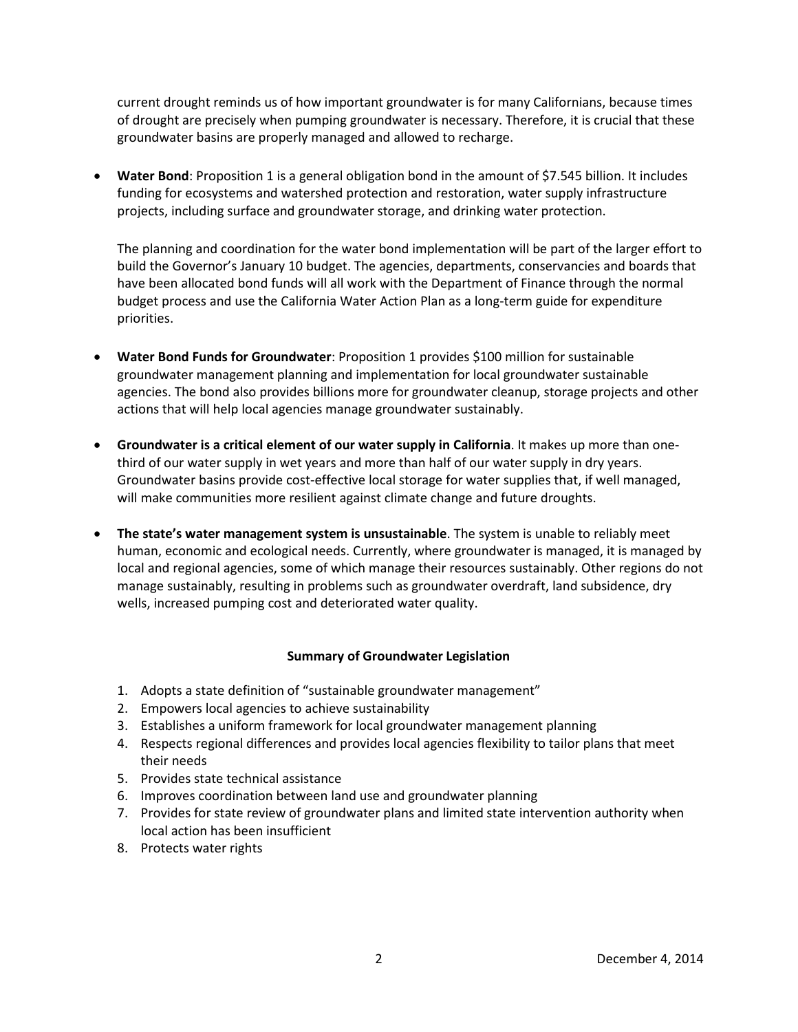current drought reminds us of how important groundwater is for many Californians, because times of drought are precisely when pumping groundwater is necessary. Therefore, it is crucial that these groundwater basins are properly managed and allowed to recharge.

• Water Bond: Proposition 1 is a general obligation bond in the amount of \$7.545 billion. It includes funding for ecosystems and watershed protection and restoration, water supply infrastructure projects, including surface and groundwater storage, and drinking water protection.

The planning and coordination for the water bond implementation will be part of the larger effort to build the Governor's January 10 budget. The agencies, departments, conservancies and boards that have been allocated bond funds will all work with the Department of Finance through the normal budget process and use the California Water Action Plan as a long-term guide for expenditure priorities.

- **Water Bond Funds for Groundwater**: Proposition 1 provides \$100 million for sustainable groundwater management planning and implementation for local groundwater sustainable agencies. The bond also provides billions more for groundwater cleanup, storage projects and other actions that will help local agencies manage groundwater sustainably.
- **Groundwater is a critical element of our water supply in California**. It makes up more than onethird of our water supply in wet years and more than half of our water supply in dry years. Groundwater basins provide cost-effective local storage for water supplies that, if well managed, will make communities more resilient against climate change and future droughts.
- **The state's water management system is unsustainable**. The system is unable to reliably meet human, economic and ecological needs. Currently, where groundwater is managed, it is managed by local and regional agencies, some of which manage their resources sustainably. Other regions do not manage sustainably, resulting in problems such as groundwater overdraft, land subsidence, dry wells, increased pumping cost and deteriorated water quality.

## **Summary of Groundwater Legislation**

- 1. Adopts a state definition of "sustainable groundwater management"
- 2. Empowers local agencies to achieve sustainability
- 3. Establishes a uniform framework for local groundwater management planning
- 4. Respects regional differences and provides local agencies flexibility to tailor plans that meet their needs
- 5. Provides state technical assistance
- 6. Improves coordination between land use and groundwater planning
- 7. Provides for state review of groundwater plans and limited state intervention authority when local action has been insufficient
- 8. Protects water rights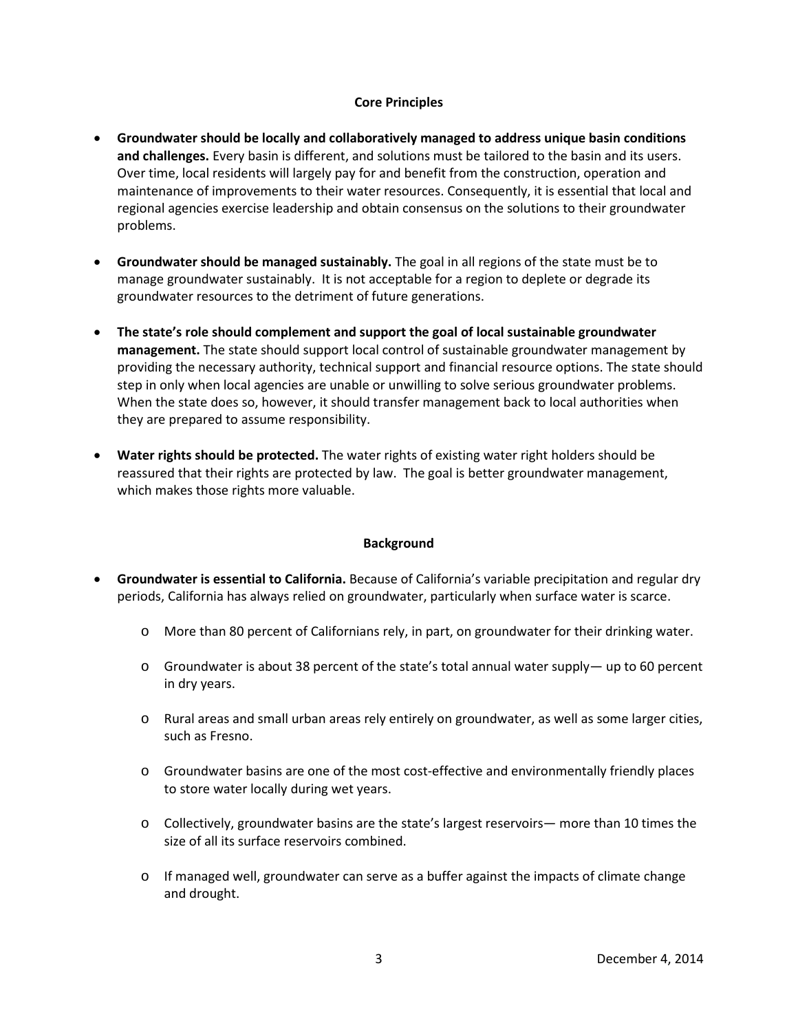### **Core Principles**

- **Groundwater should be locally and collaboratively managed to address unique basin conditions and challenges.** Every basin is different, and solutions must be tailored to the basin and its users. Over time, local residents will largely pay for and benefit from the construction, operation and maintenance of improvements to their water resources. Consequently, it is essential that local and regional agencies exercise leadership and obtain consensus on the solutions to their groundwater problems.
- **Groundwater should be managed sustainably.** The goal in all regions of the state must be to manage groundwater sustainably. It is not acceptable for a region to deplete or degrade its groundwater resources to the detriment of future generations.
- **The state's role should complement and support the goal of local sustainable groundwater management.** The state should support local control of sustainable groundwater management by providing the necessary authority, technical support and financial resource options. The state should step in only when local agencies are unable or unwilling to solve serious groundwater problems. When the state does so, however, it should transfer management back to local authorities when they are prepared to assume responsibility.
- **Water rights should be protected.** The water rights of existing water right holders should be reassured that their rights are protected by law. The goal is better groundwater management, which makes those rights more valuable.

#### **Background**

- **Groundwater is essential to California.** Because of California's variable precipitation and regular dry periods, California has always relied on groundwater, particularly when surface water is scarce.
	- o More than 80 percent of Californians rely, in part, on groundwater for their drinking water.
	- $\circ$  Groundwater is about 38 percent of the state's total annual water supply— up to 60 percent in dry years.
	- $\circ$  Rural areas and small urban areas rely entirely on groundwater, as well as some larger cities, such as Fresno.
	- o Groundwater basins are one of the most cost-effective and environmentally friendly places to store water locally during wet years.
	- o Collectively, groundwater basins are the state's largest reservoirs— more than 10 times the size of all its surface reservoirs combined.
	- $\circ$  If managed well, groundwater can serve as a buffer against the impacts of climate change and drought.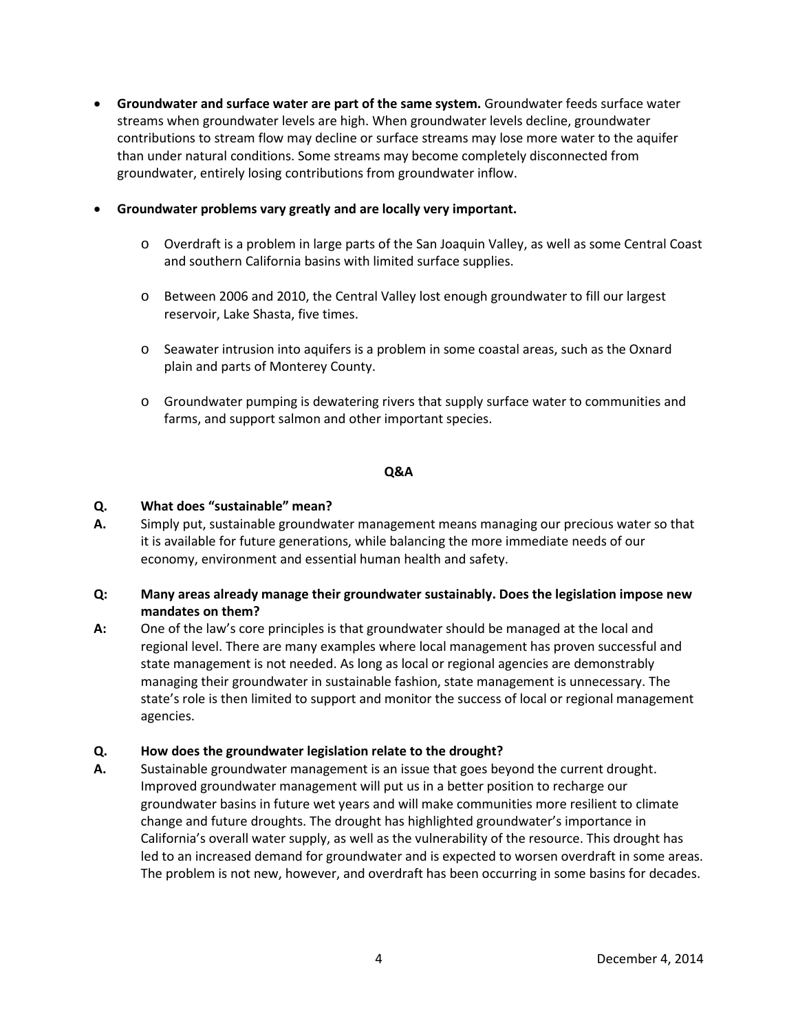• **Groundwater and surface water are part of the same system.** Groundwater feeds surface water streams when groundwater levels are high. When groundwater levels decline, groundwater contributions to stream flow may decline or surface streams may lose more water to the aquifer than under natural conditions. Some streams may become completely disconnected from groundwater, entirely losing contributions from groundwater inflow.

### • **Groundwater problems vary greatly and are locally very important.**

- o Overdraft is a problem in large parts of the San Joaquin Valley, as well as some Central Coast and southern California basins with limited surface supplies.
- o Between 2006 and 2010, the Central Valley lost enough groundwater to fill our largest reservoir, Lake Shasta, five times.
- o Seawater intrusion into aquifers is a problem in some coastal areas, such as the Oxnard plain and parts of Monterey County.
- o Groundwater pumping is dewatering rivers that supply surface water to communities and farms, and support salmon and other important species.

#### **Q&A**

#### **Q. What does "sustainable" mean?**

**A.** Simply put, sustainable groundwater management means managing our precious water so that it is available for future generations, while balancing the more immediate needs of our economy, environment and essential human health and safety.

## **Q: Many areas already manage their groundwater sustainably. Does the legislation impose new mandates on them?**

**A:** One of the law's core principles is that groundwater should be managed at the local and regional level. There are many examples where local management has proven successful and state management is not needed. As long as local or regional agencies are demonstrably managing their groundwater in sustainable fashion, state management is unnecessary. The state's role is then limited to support and monitor the success of local or regional management agencies.

#### **Q. How does the groundwater legislation relate to the drought?**

**A.** Sustainable groundwater management is an issue that goes beyond the current drought. Improved groundwater management will put us in a better position to recharge our groundwater basins in future wet years and will make communities more resilient to climate change and future droughts. The drought has highlighted groundwater's importance in California's overall water supply, as well as the vulnerability of the resource. This drought has led to an increased demand for groundwater and is expected to worsen overdraft in some areas. The problem is not new, however, and overdraft has been occurring in some basins for decades.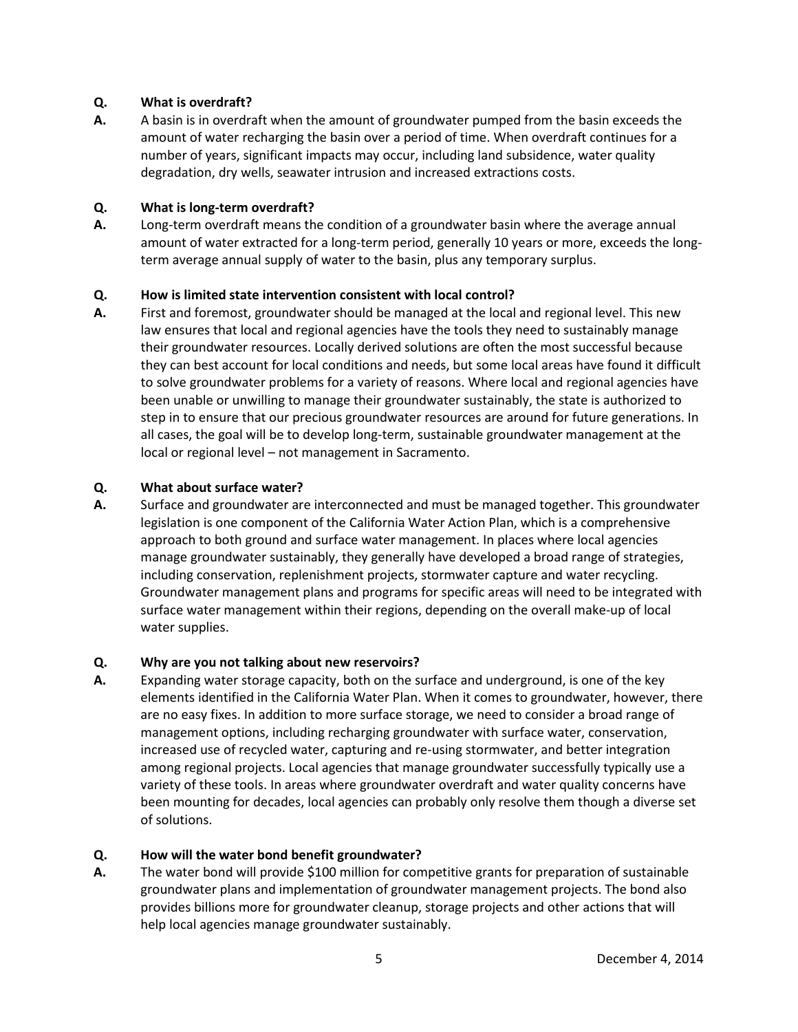# **Q. What is overdraft?**

**A.** A basin is in overdraft when the amount of groundwater pumped from the basin exceeds the amount of water recharging the basin over a period of time. When overdraft continues for a number of years, significant impacts may occur, including land subsidence, water quality degradation, dry wells, seawater intrusion and increased extractions costs.

## **Q. What is long-term overdraft?**

**A.** Long-term overdraft means the condition of a groundwater basin where the average annual amount of water extracted for a long-term period, generally 10 years or more, exceeds the longterm average annual supply of water to the basin, plus any temporary surplus.

# **Q. How is limited state intervention consistent with local control?**

**A.** First and foremost, groundwater should be managed at the local and regional level. This new law ensures that local and regional agencies have the tools they need to sustainably manage their groundwater resources. Locally derived solutions are often the most successful because they can best account for local conditions and needs, but some local areas have found it difficult to solve groundwater problems for a variety of reasons. Where local and regional agencies have been unable or unwilling to manage their groundwater sustainably, the state is authorized to step in to ensure that our precious groundwater resources are around for future generations. In all cases, the goal will be to develop long-term, sustainable groundwater management at the local or regional level – not management in Sacramento.

# **Q. What about surface water?**

**A.** Surface and groundwater are interconnected and must be managed together. This groundwater legislation is one component of the California Water Action Plan, which is a comprehensive approach to both ground and surface water management. In places where local agencies manage groundwater sustainably, they generally have developed a broad range of strategies, including conservation, replenishment projects, stormwater capture and water recycling. Groundwater management plans and programs for specific areas will need to be integrated with surface water management within their regions, depending on the overall make-up of local water supplies.

## **Q. Why are you not talking about new reservoirs?**

**A.** Expanding water storage capacity, both on the surface and underground, is one of the key elements identified in the California Water Plan. When it comes to groundwater, however, there are no easy fixes. In addition to more surface storage, we need to consider a broad range of management options, including recharging groundwater with surface water, conservation, increased use of recycled water, capturing and re-using stormwater, and better integration among regional projects. Local agencies that manage groundwater successfully typically use a variety of these tools. In areas where groundwater overdraft and water quality concerns have been mounting for decades, local agencies can probably only resolve them though a diverse set of solutions.

# **Q. How will the water bond benefit groundwater?**

**A.** The water bond will provide \$100 million for competitive grants for preparation of sustainable groundwater plans and implementation of groundwater management projects. The bond also provides billions more for groundwater cleanup, storage projects and other actions that will help local agencies manage groundwater sustainably.